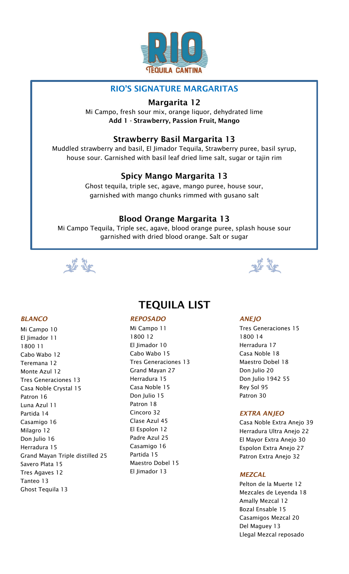

# RIO'S SIGNATURE MARGARITAS

# Margarita 12

Mi Campo, fresh sour mix, orange liquor, dehydrated lime Add 1 - Strawberry, Passion Fruit, Mango

# Strawberry Basil Margarita 13

Muddled strawberry and basil, El Jimador Tequila, Strawberry puree, basil syrup, house sour. Garnished with basil leaf dried lime salt, sugar or tajin rim

# Spicy Mango Margarita 13

Ghost tequila, triple sec, agave, mango puree, house sour, garnished with mango chunks rimmed with gusano salt

# Blood Orange Margarita 13

Mi Campo Tequila, Triple sec, agave, blood orange puree, splash house sour garnished with dried blood orange. Salt or sugar





# TEQUILA LIST

#### *REPOSADO*

Mi Campo 11 1800 12 El Jimador 10 Cabo Wabo 15 Tres Generaciones 13 Grand Mayan 27 Herradura 15 Casa Noble 15 Don Julio 15 Patron 18 Cincoro 32 Clase Azul 45 El Espolon 12 Padre Azul 25 Casamigo 16 Partida 15 Maestro Dobel 15 El Jimador 13

#### *ANEJO*

Tres Generaciones 15 1800 14 Herradura 17 Casa Noble 18 Maestro Dobel 18 Don Julio 20 Don Julio 1942 55 Rey Sol 95 Patron 30

# *EXTRA ANJEO*

Casa Noble Extra Anejo 39 Herradura Ultra Anejo 22 El Mayor Extra Anejo 30 Espolon Extra Anejo 27 Patron Extra Anejo 32

# *MEZCAL*

Pelton de la Muerte 12 Mezcales de Leyenda 18 Amally Mezcal 12 Bozal Ensable 15 Casamigos Mezcal 20 Del Maguey 13 Llegal Mezcal reposado

# *BLANCO*

Mi Campo 10 El Jimador 11 1800 11 Cabo Wabo 12 Teremana 12 Monte Azul 12 Tres Generaciones 13 Casa Noble Crystal 15 Patron 16 Luna Azul 11 Partida 14 Casamigo 16 Milagro 12 Don Julio 16 Herradura 15 Grand Mayan Triple distilled 25 Savero Plata 15 Tres Agaves 12 Tanteo 13 Ghost Tequila 13